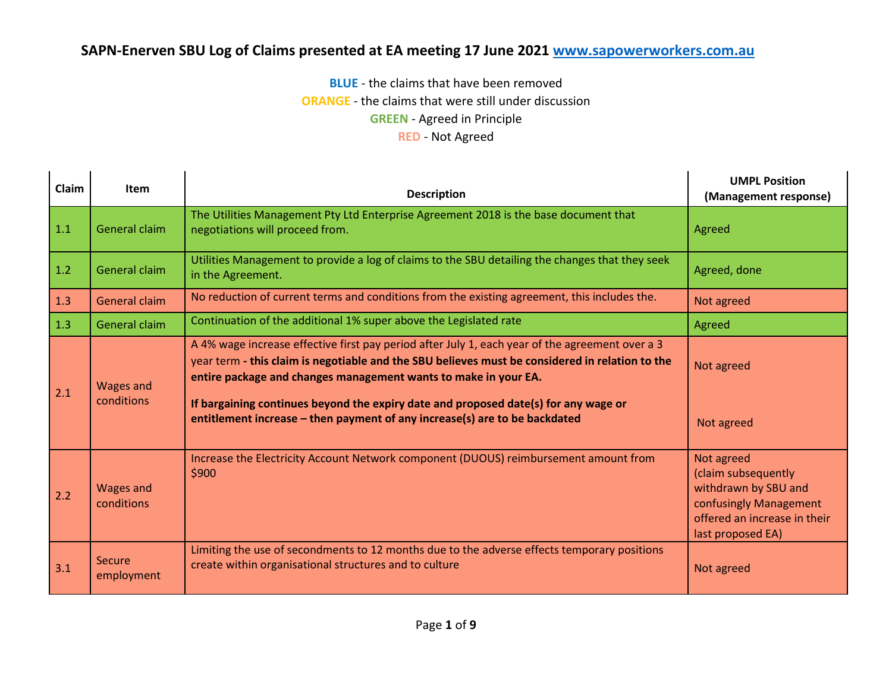**BLUE** - the claims that have been removed

**ORANGE** - the claims that were still under discussion

**GREEN** - Agreed in Principle

#### **RED** - Not Agreed

| <b>Claim</b> | <b>Item</b>                    | <b>Description</b>                                                                                                                                                                                                                                                                                                                                                                                                                         | <b>UMPL Position</b><br>(Management response)                                                                                            |
|--------------|--------------------------------|--------------------------------------------------------------------------------------------------------------------------------------------------------------------------------------------------------------------------------------------------------------------------------------------------------------------------------------------------------------------------------------------------------------------------------------------|------------------------------------------------------------------------------------------------------------------------------------------|
| 1.1          | General claim                  | The Utilities Management Pty Ltd Enterprise Agreement 2018 is the base document that<br>negotiations will proceed from.                                                                                                                                                                                                                                                                                                                    | Agreed                                                                                                                                   |
| 1.2          | General claim                  | Utilities Management to provide a log of claims to the SBU detailing the changes that they seek<br>in the Agreement.                                                                                                                                                                                                                                                                                                                       | Agreed, done                                                                                                                             |
| 1.3          | <b>General claim</b>           | No reduction of current terms and conditions from the existing agreement, this includes the.                                                                                                                                                                                                                                                                                                                                               | Not agreed                                                                                                                               |
| 1.3          | General claim                  | Continuation of the additional 1% super above the Legislated rate                                                                                                                                                                                                                                                                                                                                                                          | Agreed                                                                                                                                   |
| 2.1          | <b>Wages and</b><br>conditions | A 4% wage increase effective first pay period after July 1, each year of the agreement over a 3<br>year term - this claim is negotiable and the SBU believes must be considered in relation to the<br>entire package and changes management wants to make in your EA.<br>If bargaining continues beyond the expiry date and proposed date(s) for any wage or<br>entitlement increase - then payment of any increase(s) are to be backdated | Not agreed<br>Not agreed                                                                                                                 |
| 2.2          | <b>Wages and</b><br>conditions | Increase the Electricity Account Network component (DUOUS) reimbursement amount from<br>\$900                                                                                                                                                                                                                                                                                                                                              | Not agreed<br>(claim subsequently<br>withdrawn by SBU and<br>confusingly Management<br>offered an increase in their<br>last proposed EA) |
| 3.1          | Secure<br>employment           | Limiting the use of secondments to 12 months due to the adverse effects temporary positions<br>create within organisational structures and to culture                                                                                                                                                                                                                                                                                      | Not agreed                                                                                                                               |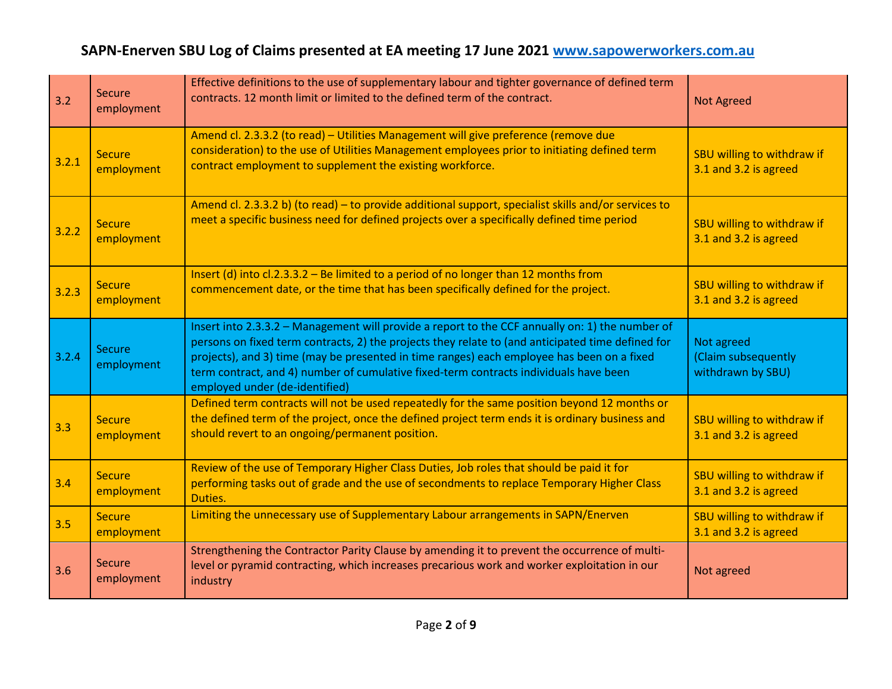| 3.2   | <b>Secure</b><br>employment | Effective definitions to the use of supplementary labour and tighter governance of defined term<br>contracts. 12 month limit or limited to the defined term of the contract.                                                                                                                                                                                                                                                  | <b>Not Agreed</b>                                      |
|-------|-----------------------------|-------------------------------------------------------------------------------------------------------------------------------------------------------------------------------------------------------------------------------------------------------------------------------------------------------------------------------------------------------------------------------------------------------------------------------|--------------------------------------------------------|
| 3.2.1 | <b>Secure</b><br>employment | Amend cl. 2.3.3.2 (to read) - Utilities Management will give preference (remove due<br>consideration) to the use of Utilities Management employees prior to initiating defined term<br>contract employment to supplement the existing workforce.                                                                                                                                                                              | SBU willing to withdraw if<br>3.1 and 3.2 is agreed    |
| 3.2.2 | <b>Secure</b><br>employment | Amend cl. 2.3.3.2 b) (to read) - to provide additional support, specialist skills and/or services to<br>meet a specific business need for defined projects over a specifically defined time period                                                                                                                                                                                                                            | SBU willing to withdraw if<br>3.1 and 3.2 is agreed    |
| 3.2.3 | <b>Secure</b><br>employment | Insert (d) into $cl.2.3.3.2$ – Be limited to a period of no longer than 12 months from<br>commencement date, or the time that has been specifically defined for the project.                                                                                                                                                                                                                                                  | SBU willing to withdraw if<br>3.1 and 3.2 is agreed    |
| 3.2.4 | Secure<br>employment        | Insert into 2.3.3.2 - Management will provide a report to the CCF annually on: 1) the number of<br>persons on fixed term contracts, 2) the projects they relate to (and anticipated time defined for<br>projects), and 3) time (may be presented in time ranges) each employee has been on a fixed<br>term contract, and 4) number of cumulative fixed-term contracts individuals have been<br>employed under (de-identified) | Not agreed<br>(Claim subsequently<br>withdrawn by SBU) |
| 3.3   | <b>Secure</b><br>employment | Defined term contracts will not be used repeatedly for the same position beyond 12 months or<br>the defined term of the project, once the defined project term ends it is ordinary business and<br>should revert to an ongoing/permanent position.                                                                                                                                                                            | SBU willing to withdraw if<br>3.1 and 3.2 is agreed    |
| 3.4   | <b>Secure</b><br>employment | Review of the use of Temporary Higher Class Duties, Job roles that should be paid it for<br>performing tasks out of grade and the use of secondments to replace Temporary Higher Class<br>Duties.                                                                                                                                                                                                                             | SBU willing to withdraw if<br>3.1 and 3.2 is agreed    |
| 3.5   | <b>Secure</b><br>employment | Limiting the unnecessary use of Supplementary Labour arrangements in SAPN/Enerven                                                                                                                                                                                                                                                                                                                                             | SBU willing to withdraw if<br>3.1 and 3.2 is agreed    |
| 3.6   | <b>Secure</b><br>employment | Strengthening the Contractor Parity Clause by amending it to prevent the occurrence of multi-<br>level or pyramid contracting, which increases precarious work and worker exploitation in our<br>industry                                                                                                                                                                                                                     | Not agreed                                             |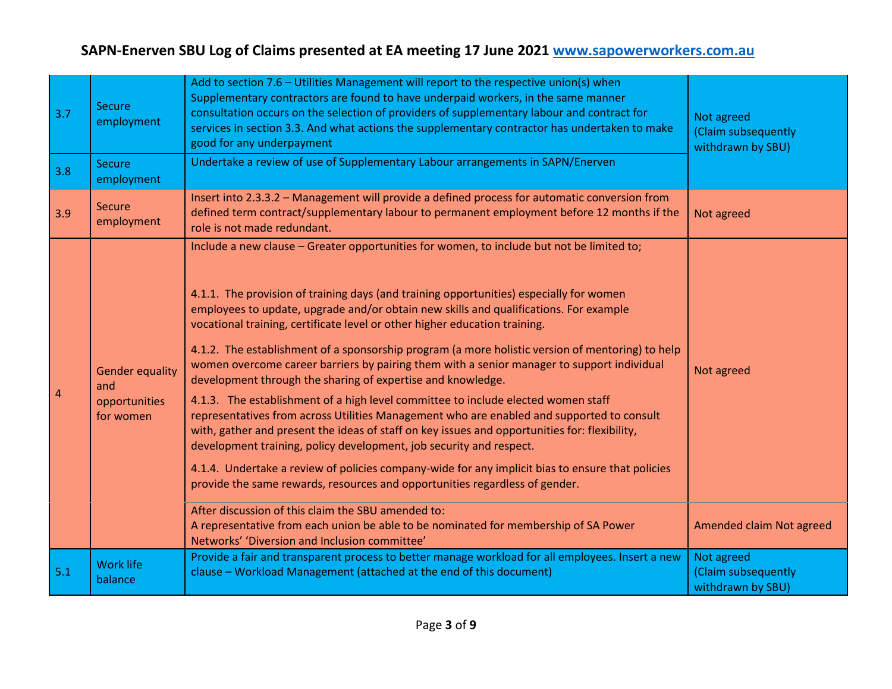| 3.7 | <b>Secure</b><br>employment<br><b>Secure</b>                | Add to section 7.6 - Utilities Management will report to the respective union(s) when<br>Supplementary contractors are found to have underpaid workers, in the same manner<br>consultation occurs on the selection of providers of supplementary labour and contract for<br>services in section 3.3. And what actions the supplementary contractor has undertaken to make<br>good for any underpayment<br>Undertake a review of use of Supplementary Labour arrangements in SAPN/Enerven                                                                                                                                                                                                                                                                                                                                                                                                                                                                                                                                                                                                                                                                                  | Not agreed<br>(Claim subsequently<br>withdrawn by SBU) |
|-----|-------------------------------------------------------------|---------------------------------------------------------------------------------------------------------------------------------------------------------------------------------------------------------------------------------------------------------------------------------------------------------------------------------------------------------------------------------------------------------------------------------------------------------------------------------------------------------------------------------------------------------------------------------------------------------------------------------------------------------------------------------------------------------------------------------------------------------------------------------------------------------------------------------------------------------------------------------------------------------------------------------------------------------------------------------------------------------------------------------------------------------------------------------------------------------------------------------------------------------------------------|--------------------------------------------------------|
| 3.8 | employment                                                  |                                                                                                                                                                                                                                                                                                                                                                                                                                                                                                                                                                                                                                                                                                                                                                                                                                                                                                                                                                                                                                                                                                                                                                           |                                                        |
| 3.9 | <b>Secure</b><br>employment                                 | Insert into 2.3.3.2 - Management will provide a defined process for automatic conversion from<br>defined term contract/supplementary labour to permanent employment before 12 months if the<br>role is not made redundant.                                                                                                                                                                                                                                                                                                                                                                                                                                                                                                                                                                                                                                                                                                                                                                                                                                                                                                                                                | Not agreed                                             |
| 4   | <b>Gender equality</b><br>and<br>opportunities<br>for women | Include a new clause - Greater opportunities for women, to include but not be limited to;<br>4.1.1. The provision of training days (and training opportunities) especially for women<br>employees to update, upgrade and/or obtain new skills and qualifications. For example<br>vocational training, certificate level or other higher education training.<br>4.1.2. The establishment of a sponsorship program (a more holistic version of mentoring) to help<br>women overcome career barriers by pairing them with a senior manager to support individual<br>development through the sharing of expertise and knowledge.<br>4.1.3. The establishment of a high level committee to include elected women staff<br>representatives from across Utilities Management who are enabled and supported to consult<br>with, gather and present the ideas of staff on key issues and opportunities for: flexibility,<br>development training, policy development, job security and respect.<br>4.1.4. Undertake a review of policies company-wide for any implicit bias to ensure that policies<br>provide the same rewards, resources and opportunities regardless of gender. | Not agreed                                             |
|     |                                                             | After discussion of this claim the SBU amended to:<br>A representative from each union be able to be nominated for membership of SA Power<br>Networks' 'Diversion and Inclusion committee'                                                                                                                                                                                                                                                                                                                                                                                                                                                                                                                                                                                                                                                                                                                                                                                                                                                                                                                                                                                | Amended claim Not agreed                               |
| 5.1 | <b>Work life</b><br>balance                                 | Provide a fair and transparent process to better manage workload for all employees. Insert a new<br>clause - Workload Management (attached at the end of this document)                                                                                                                                                                                                                                                                                                                                                                                                                                                                                                                                                                                                                                                                                                                                                                                                                                                                                                                                                                                                   | Not agreed<br>(Claim subsequently<br>withdrawn by SBU) |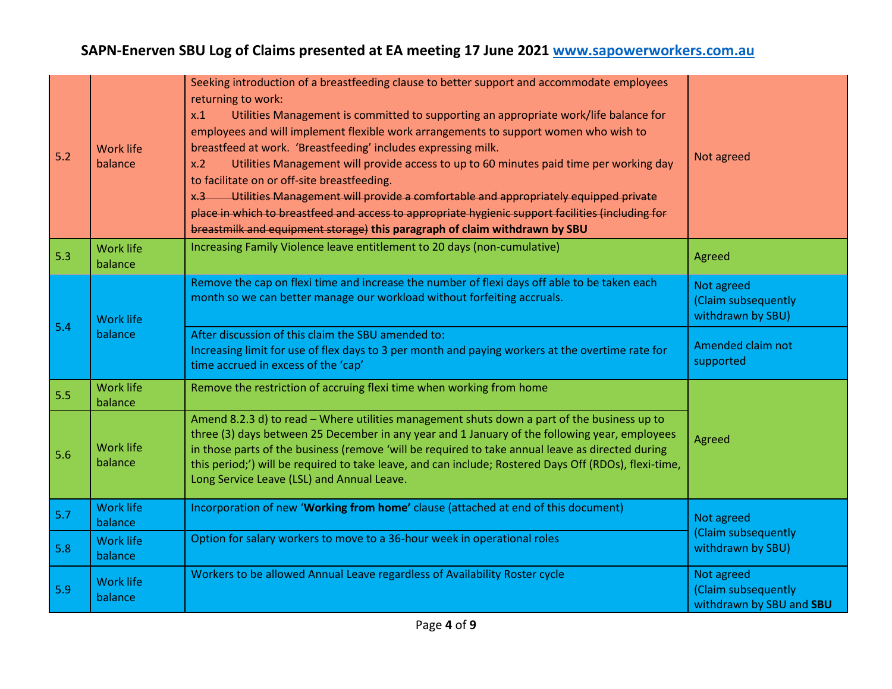| 5.2 | <b>Work life</b><br>balance | Seeking introduction of a breastfeeding clause to better support and accommodate employees<br>returning to work:<br>Utilities Management is committed to supporting an appropriate work/life balance for<br>x.1<br>employees and will implement flexible work arrangements to support women who wish to<br>breastfeed at work. 'Breastfeeding' includes expressing milk.<br>Utilities Management will provide access to up to 60 minutes paid time per working day<br>x.2<br>to facilitate on or off-site breastfeeding.<br>x.3 Utilities Management will provide a comfortable and appropriately equipped private<br>place in which to breastfeed and access to appropriate hygienic support facilities (including for<br>breastmilk and equipment storage) this paragraph of claim withdrawn by SBU | Not agreed                                                    |
|-----|-----------------------------|-------------------------------------------------------------------------------------------------------------------------------------------------------------------------------------------------------------------------------------------------------------------------------------------------------------------------------------------------------------------------------------------------------------------------------------------------------------------------------------------------------------------------------------------------------------------------------------------------------------------------------------------------------------------------------------------------------------------------------------------------------------------------------------------------------|---------------------------------------------------------------|
| 5.3 | <b>Work life</b><br>balance | Increasing Family Violence leave entitlement to 20 days (non-cumulative)                                                                                                                                                                                                                                                                                                                                                                                                                                                                                                                                                                                                                                                                                                                              | Agreed                                                        |
| 5.4 | <b>Work life</b><br>balance | Remove the cap on flexi time and increase the number of flexi days off able to be taken each<br>month so we can better manage our workload without forfeiting accruals.                                                                                                                                                                                                                                                                                                                                                                                                                                                                                                                                                                                                                               | Not agreed<br>(Claim subsequently<br>withdrawn by SBU)        |
|     |                             | After discussion of this claim the SBU amended to:<br>Increasing limit for use of flex days to 3 per month and paying workers at the overtime rate for<br>time accrued in excess of the 'cap'                                                                                                                                                                                                                                                                                                                                                                                                                                                                                                                                                                                                         | Amended claim not<br>supported                                |
| 5.5 | <b>Work life</b><br>balance | Remove the restriction of accruing flexi time when working from home                                                                                                                                                                                                                                                                                                                                                                                                                                                                                                                                                                                                                                                                                                                                  |                                                               |
| 5.6 | <b>Work life</b><br>balance | Amend 8.2.3 d) to read - Where utilities management shuts down a part of the business up to<br>three (3) days between 25 December in any year and 1 January of the following year, employees<br>in those parts of the business (remove 'will be required to take annual leave as directed during<br>this period;') will be required to take leave, and can include; Rostered Days Off (RDOs), flexi-time,<br>Long Service Leave (LSL) and Annual Leave.                                                                                                                                                                                                                                                                                                                                               | Agreed                                                        |
| 5.7 | <b>Work life</b><br>balance | Incorporation of new 'Working from home' clause (attached at end of this document)                                                                                                                                                                                                                                                                                                                                                                                                                                                                                                                                                                                                                                                                                                                    | Not agreed                                                    |
| 5.8 | <b>Work life</b><br>balance | Option for salary workers to move to a 36-hour week in operational roles                                                                                                                                                                                                                                                                                                                                                                                                                                                                                                                                                                                                                                                                                                                              | (Claim subsequently<br>withdrawn by SBU)                      |
| 5.9 | <b>Work life</b><br>balance | Workers to be allowed Annual Leave regardless of Availability Roster cycle                                                                                                                                                                                                                                                                                                                                                                                                                                                                                                                                                                                                                                                                                                                            | Not agreed<br>(Claim subsequently<br>withdrawn by SBU and SBU |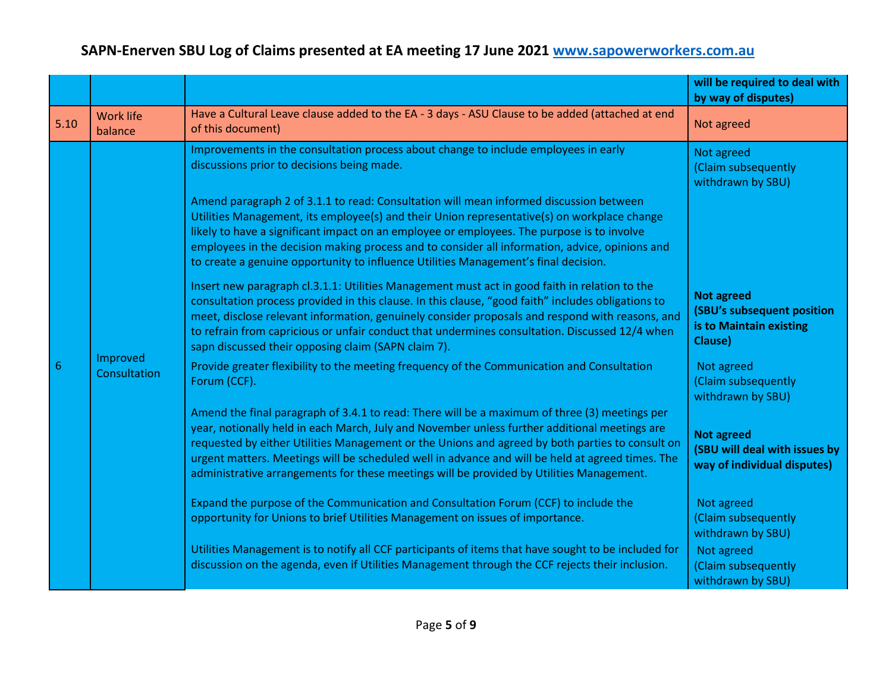|             |                             |                                                                                                                                                                                                                                                                                                                                                                                                                                                                                                   | will be required to deal with<br>by way of disputes)                                  |
|-------------|-----------------------------|---------------------------------------------------------------------------------------------------------------------------------------------------------------------------------------------------------------------------------------------------------------------------------------------------------------------------------------------------------------------------------------------------------------------------------------------------------------------------------------------------|---------------------------------------------------------------------------------------|
| $5.10$      | <b>Work life</b><br>balance | Have a Cultural Leave clause added to the EA - 3 days - ASU Clause to be added (attached at end<br>of this document)                                                                                                                                                                                                                                                                                                                                                                              | Not agreed                                                                            |
|             |                             | Improvements in the consultation process about change to include employees in early<br>discussions prior to decisions being made.                                                                                                                                                                                                                                                                                                                                                                 | Not agreed<br>(Claim subsequently<br>withdrawn by SBU)                                |
|             |                             | Amend paragraph 2 of 3.1.1 to read: Consultation will mean informed discussion between<br>Utilities Management, its employee(s) and their Union representative(s) on workplace change<br>likely to have a significant impact on an employee or employees. The purpose is to involve<br>employees in the decision making process and to consider all information, advice, opinions and<br>to create a genuine opportunity to influence Utilities Management's final decision.                      |                                                                                       |
|             |                             | Insert new paragraph cl.3.1.1: Utilities Management must act in good faith in relation to the<br>consultation process provided in this clause. In this clause, "good faith" includes obligations to<br>meet, disclose relevant information, genuinely consider proposals and respond with reasons, and<br>to refrain from capricious or unfair conduct that undermines consultation. Discussed 12/4 when<br>sapn discussed their opposing claim (SAPN claim 7).                                   | <b>Not agreed</b><br>(SBU's subsequent position<br>is to Maintain existing<br>Clause) |
| $6^{\circ}$ | Improved<br>Consultation    | Provide greater flexibility to the meeting frequency of the Communication and Consultation<br>Forum (CCF).                                                                                                                                                                                                                                                                                                                                                                                        | Not agreed<br>(Claim subsequently<br>withdrawn by SBU)                                |
|             |                             | Amend the final paragraph of 3.4.1 to read: There will be a maximum of three (3) meetings per<br>year, notionally held in each March, July and November unless further additional meetings are<br>requested by either Utilities Management or the Unions and agreed by both parties to consult on<br>urgent matters. Meetings will be scheduled well in advance and will be held at agreed times. The<br>administrative arrangements for these meetings will be provided by Utilities Management. | <b>Not agreed</b><br>(SBU will deal with issues by<br>way of individual disputes)     |
|             |                             | Expand the purpose of the Communication and Consultation Forum (CCF) to include the<br>opportunity for Unions to brief Utilities Management on issues of importance.                                                                                                                                                                                                                                                                                                                              | Not agreed<br>(Claim subsequently<br>withdrawn by SBU)                                |
|             |                             | Utilities Management is to notify all CCF participants of items that have sought to be included for<br>discussion on the agenda, even if Utilities Management through the CCF rejects their inclusion.                                                                                                                                                                                                                                                                                            | Not agreed<br>(Claim subsequently<br>withdrawn by SBU)                                |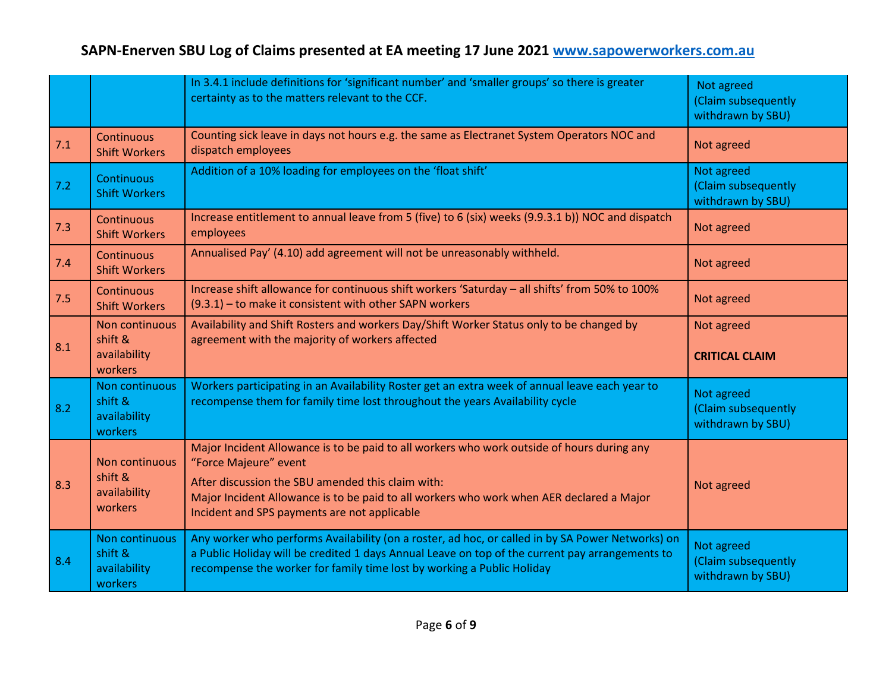|       |                                                      | In 3.4.1 include definitions for 'significant number' and 'smaller groups' so there is greater<br>certainty as to the matters relevant to the CCF.                                                                                                                                                                   | Not agreed<br>(Claim subsequently<br>withdrawn by SBU) |
|-------|------------------------------------------------------|----------------------------------------------------------------------------------------------------------------------------------------------------------------------------------------------------------------------------------------------------------------------------------------------------------------------|--------------------------------------------------------|
| 7.1   | Continuous<br><b>Shift Workers</b>                   | Counting sick leave in days not hours e.g. the same as Electranet System Operators NOC and<br>dispatch employees                                                                                                                                                                                                     | Not agreed                                             |
| $7.2$ | Continuous<br><b>Shift Workers</b>                   | Addition of a 10% loading for employees on the 'float shift'                                                                                                                                                                                                                                                         | Not agreed<br>(Claim subsequently<br>withdrawn by SBU) |
| 7.3   | Continuous<br><b>Shift Workers</b>                   | Increase entitlement to annual leave from 5 (five) to 6 (six) weeks (9.9.3.1 b)) NOC and dispatch<br>employees                                                                                                                                                                                                       | Not agreed                                             |
| 7.4   | Continuous<br><b>Shift Workers</b>                   | Annualised Pay' (4.10) add agreement will not be unreasonably withheld.                                                                                                                                                                                                                                              | Not agreed                                             |
| 7.5   | Continuous<br><b>Shift Workers</b>                   | Increase shift allowance for continuous shift workers 'Saturday - all shifts' from 50% to 100%<br>(9.3.1) - to make it consistent with other SAPN workers                                                                                                                                                            | Not agreed                                             |
| 8.1   | Non continuous<br>shift &<br>availability<br>workers | Availability and Shift Rosters and workers Day/Shift Worker Status only to be changed by<br>agreement with the majority of workers affected                                                                                                                                                                          | Not agreed<br><b>CRITICAL CLAIM</b>                    |
| 8.2   | Non continuous<br>shift &<br>availability<br>workers | Workers participating in an Availability Roster get an extra week of annual leave each year to<br>recompense them for family time lost throughout the years Availability cycle                                                                                                                                       | Not agreed<br>(Claim subsequently<br>withdrawn by SBU) |
| 8.3   | Non continuous<br>shift &<br>availability<br>workers | Major Incident Allowance is to be paid to all workers who work outside of hours during any<br>"Force Majeure" event<br>After discussion the SBU amended this claim with:<br>Major Incident Allowance is to be paid to all workers who work when AER declared a Major<br>Incident and SPS payments are not applicable | Not agreed                                             |
| 8.4   | Non continuous<br>shift &<br>availability<br>workers | Any worker who performs Availability (on a roster, ad hoc, or called in by SA Power Networks) on<br>a Public Holiday will be credited 1 days Annual Leave on top of the current pay arrangements to<br>recompense the worker for family time lost by working a Public Holiday                                        | Not agreed<br>(Claim subsequently<br>withdrawn by SBU) |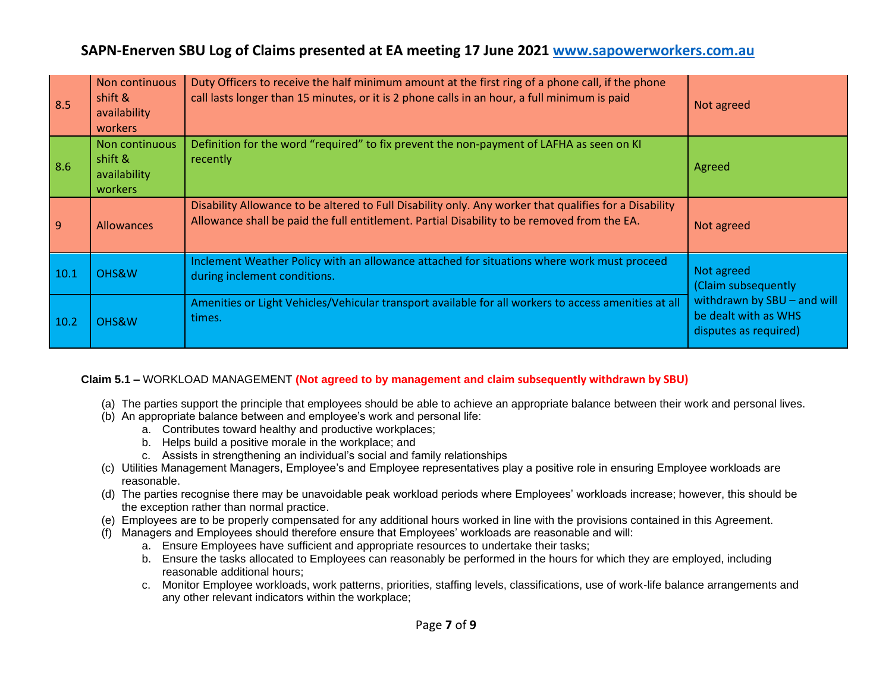| 8.5  | Non continuous<br>shift &<br>availability<br>workers | Duty Officers to receive the half minimum amount at the first ring of a phone call, if the phone<br>call lasts longer than 15 minutes, or it is 2 phone calls in an hour, a full minimum is paid      | Not agreed                                                                   |
|------|------------------------------------------------------|-------------------------------------------------------------------------------------------------------------------------------------------------------------------------------------------------------|------------------------------------------------------------------------------|
| 8.6  | Non continuous<br>shift &<br>availability<br>workers | Definition for the word "required" to fix prevent the non-payment of LAFHA as seen on KI<br>recently                                                                                                  | Agreed                                                                       |
| 9    | <b>Allowances</b>                                    | Disability Allowance to be altered to Full Disability only. Any worker that qualifies for a Disability<br>Allowance shall be paid the full entitlement. Partial Disability to be removed from the EA. | Not agreed                                                                   |
| 10.1 | OHS&W                                                | Inclement Weather Policy with an allowance attached for situations where work must proceed<br>during inclement conditions.                                                                            | Not agreed<br>(Claim subsequently                                            |
| 10.2 | OHS&W                                                | Amenities or Light Vehicles/Vehicular transport available for all workers to access amenities at all<br>times.                                                                                        | withdrawn by SBU - and will<br>be dealt with as WHS<br>disputes as required) |

#### **Claim 5.1 –** WORKLOAD MANAGEMENT **(Not agreed to by management and claim subsequently withdrawn by SBU)**

- (a) The parties support the principle that employees should be able to achieve an appropriate balance between their work and personal lives.
- (b) An appropriate balance between and employee's work and personal life:
	- a. Contributes toward healthy and productive workplaces;
	- b. Helps build a positive morale in the workplace; and
	- c. Assists in strengthening an individual's social and family relationships
- (c) Utilities Management Managers, Employee's and Employee representatives play a positive role in ensuring Employee workloads are reasonable.
- (d) The parties recognise there may be unavoidable peak workload periods where Employees' workloads increase; however, this should be the exception rather than normal practice.
- (e) Employees are to be properly compensated for any additional hours worked in line with the provisions contained in this Agreement.
- (f) Managers and Employees should therefore ensure that Employees' workloads are reasonable and will:
	- a. Ensure Employees have sufficient and appropriate resources to undertake their tasks;
	- b. Ensure the tasks allocated to Employees can reasonably be performed in the hours for which they are employed, including reasonable additional hours;
	- c. Monitor Employee workloads, work patterns, priorities, staffing levels, classifications, use of work-life balance arrangements and any other relevant indicators within the workplace;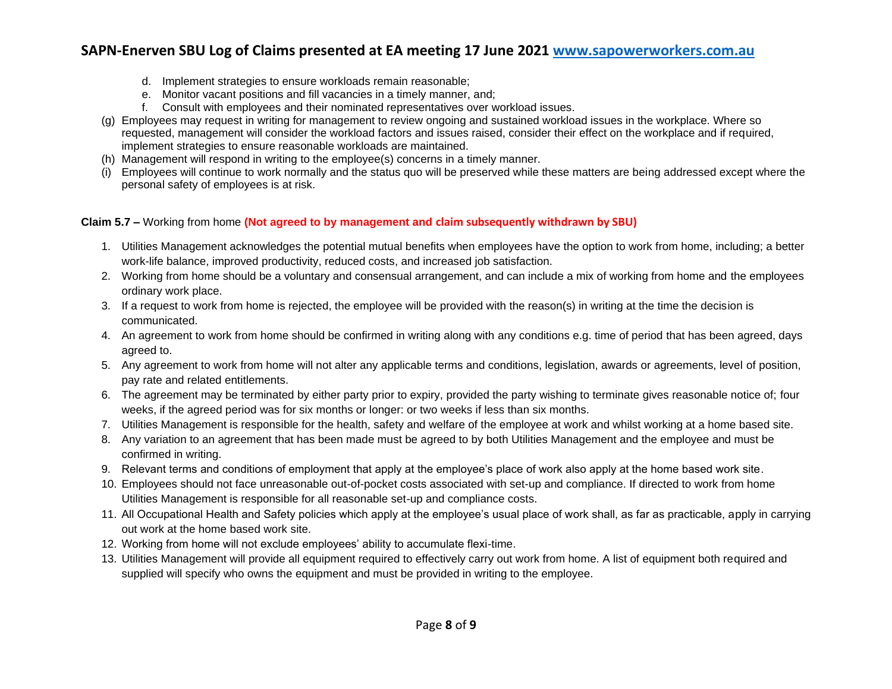- d. Implement strategies to ensure workloads remain reasonable;
- e. Monitor vacant positions and fill vacancies in a timely manner, and;
- f. Consult with employees and their nominated representatives over workload issues.
- (g) Employees may request in writing for management to review ongoing and sustained workload issues in the workplace. Where so requested, management will consider the workload factors and issues raised, consider their effect on the workplace and if required, implement strategies to ensure reasonable workloads are maintained.
- (h) Management will respond in writing to the employee(s) concerns in a timely manner.
- Employees will continue to work normally and the status quo will be preserved while these matters are being addressed except where the personal safety of employees is at risk.

#### **Claim 5.7 –** Working from home **(Not agreed to by management and claim subsequently withdrawn by SBU)**

- 1. Utilities Management acknowledges the potential mutual benefits when employees have the option to work from home, including; a better work-life balance, improved productivity, reduced costs, and increased job satisfaction.
- 2. Working from home should be a voluntary and consensual arrangement, and can include a mix of working from home and the employees ordinary work place.
- 3. If a request to work from home is rejected, the employee will be provided with the reason(s) in writing at the time the decision is communicated.
- 4. An agreement to work from home should be confirmed in writing along with any conditions e.g. time of period that has been agreed, days agreed to.
- 5. Any agreement to work from home will not alter any applicable terms and conditions, legislation, awards or agreements, level of position, pay rate and related entitlements.
- 6. The agreement may be terminated by either party prior to expiry, provided the party wishing to terminate gives reasonable notice of; four weeks, if the agreed period was for six months or longer: or two weeks if less than six months.
- 7. Utilities Management is responsible for the health, safety and welfare of the employee at work and whilst working at a home based site.
- 8. Any variation to an agreement that has been made must be agreed to by both Utilities Management and the employee and must be confirmed in writing.
- 9. Relevant terms and conditions of employment that apply at the employee's place of work also apply at the home based work site.
- 10. Employees should not face unreasonable out-of-pocket costs associated with set-up and compliance. If directed to work from home Utilities Management is responsible for all reasonable set-up and compliance costs.
- 11. All Occupational Health and Safety policies which apply at the employee's usual place of work shall, as far as practicable, apply in carrying out work at the home based work site.
- 12. Working from home will not exclude employees' ability to accumulate flexi-time.
- 13. Utilities Management will provide all equipment required to effectively carry out work from home. A list of equipment both required and supplied will specify who owns the equipment and must be provided in writing to the employee.